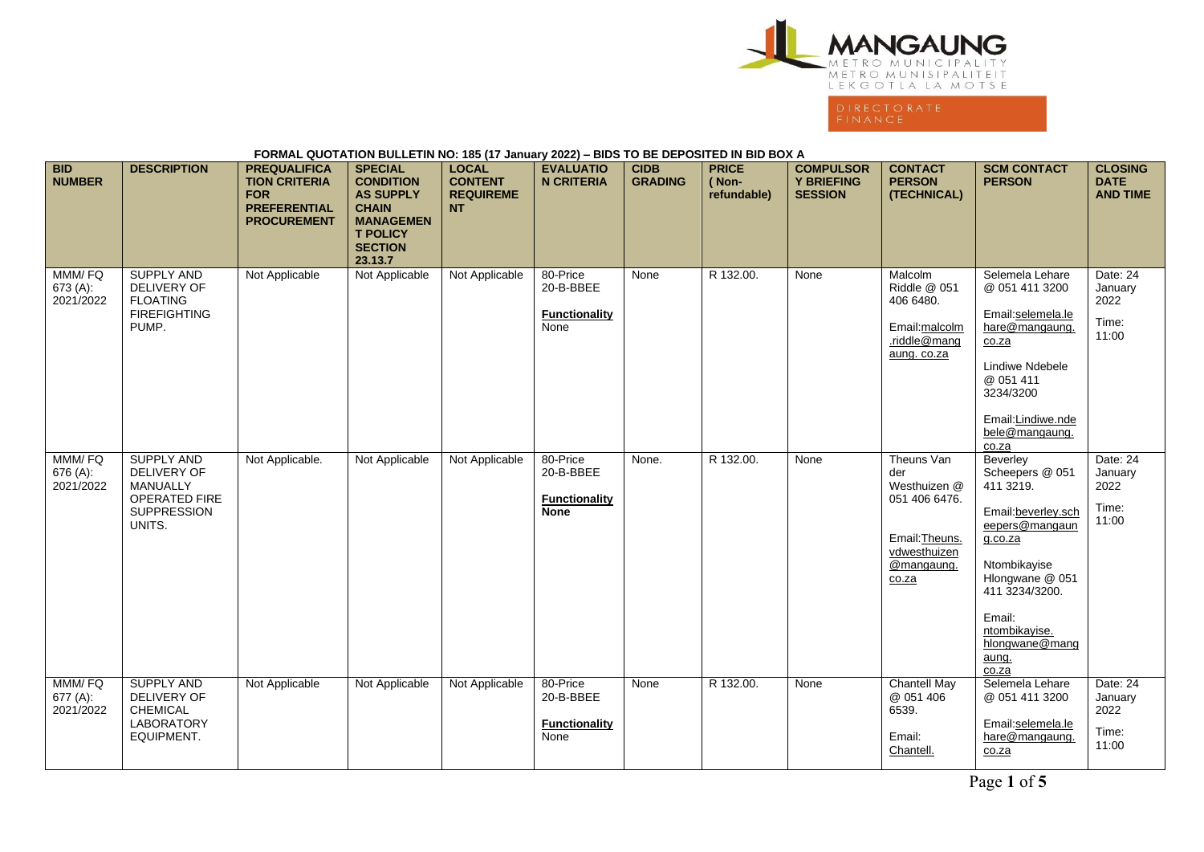

## **FORMAL QUOTATION BULLETIN NO: 185 (17 January 2022) – BIDS TO BE DEPOSITED IN BID BOX A BID NUMBER DESCRIPTION PREQUALIFICA TION CRITERIA FOR PREFERENTIAL PROCUREMENT SPECIAL CONDITION AS SUPPLY CHAIN MANAGEMEN T POLICY SECTION 23.13.7 LOCAL CONTENT REQUIREME NT EVALUATIO N CRITERIA CIDB GRADING PRICE ( Nonrefundable) COMPULSOR Y BRIEFING SESSION CONTACT PERSON (TECHNICAL) SCM CONTACT PERSON CLOSING DATE AND TIME** MMM/ FQ 673 (A): 2021/2022 SUPPLY AND DELIVERY OF FLOATING FIREFIGHTING PUMP. Not Applicable | Not Applicable | Not Applicable | 80-Price 20-B-BBEE **Functionality None** None R 132.00. None Malcolm Riddle @ 051 406 6480. Email:malcolm .riddle@mang aung. co.za Selemela Lehare @ 051 411 3200 Email:selemela.le hare@mangaung. co.za Lindiwe Ndebele @ 051 411 3234/3200 Email:Lindiwe.nde bele@mangaung. co.za Date: 24 January 2022 Time: 11:00 MMM/ FQ 676 (A): 2021/2022 SUPPLY AND DELIVERY OF MANUALLY OPERATED FIRE SUPPRESSION UNITS. Not Applicable. Not Applicable Not Applicable 80-Price 20-B-BBEE **Functionality None** None. R 132.00. None Theuns Van der Westhuizen @ 051 406 6476. Email:Theuns. vdwesthuizen @mangaung. co.za **Beverley** Scheepers @ 051 411 3219. Email:beverley.sch eepers@mangaun g.co.za Ntombikayise Hlongwane @ 051 411 3234/3200. Email: ntombikayise. hlongwane@mang aung. co.za Date: 24 January 2022 Time: 11:00 MMM/ FQ 677 (A): 2021/2022 SUPPLY AND DELIVERY OF CHEMICAL LABORATORY EQUIPMENT. Not Applicable | Not Applicable | Not Applicable | 80-Price 20-B-BBEE **Functionality None** None R 132.00. None Chantell May @ 051 406 6539. Email: Chantell. Selemela Lehare @ 051 411 3200 Email:selemela.le hare@mangaung. co.za Date: 24 January 2022 Time: 11:00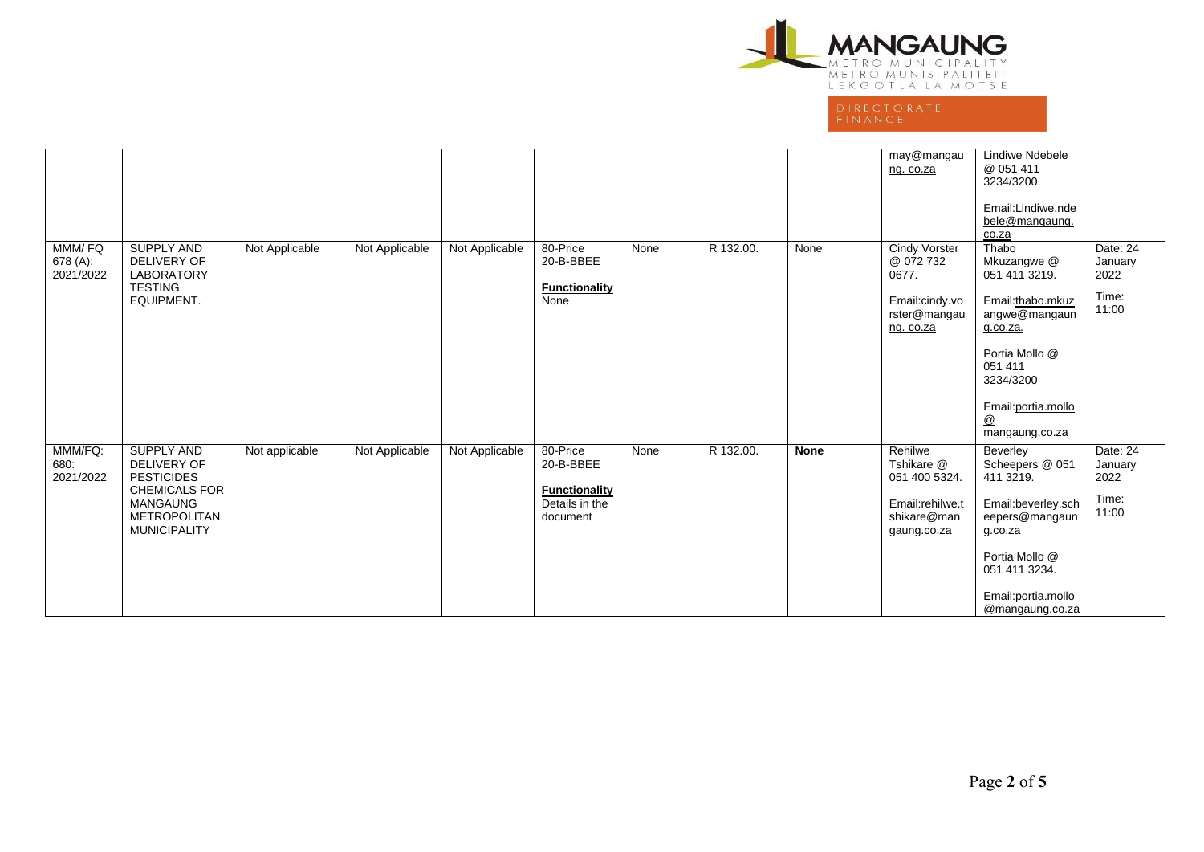

|                                 |                                                                                                                                                |                |                |                |                                                                             |      |           |             | may@mangau<br>ng. co.za                                                                   | Lindiwe Ndebele<br>@ 051 411<br>3234/3200<br>Email:Lindiwe.nde<br>bele@mangaung.<br>co.za                                                                                      |                                               |
|---------------------------------|------------------------------------------------------------------------------------------------------------------------------------------------|----------------|----------------|----------------|-----------------------------------------------------------------------------|------|-----------|-------------|-------------------------------------------------------------------------------------------|--------------------------------------------------------------------------------------------------------------------------------------------------------------------------------|-----------------------------------------------|
| MMM/FQ<br>678 (A):<br>2021/2022 | <b>SUPPLY AND</b><br><b>DELIVERY OF</b><br><b>LABORATORY</b><br><b>TESTING</b><br>EQUIPMENT.                                                   | Not Applicable | Not Applicable | Not Applicable | 80-Price<br>20-B-BBEE<br><b>Functionality</b><br>None                       | None | R 132.00. | None        | <b>Cindy Vorster</b><br>@ 072 732<br>0677.<br>Email:cindy.vo<br>rster@mangau<br>ng. co.za | Thabo<br>Mkuzangwe @<br>051 411 3219.<br>Email:thabo.mkuz<br>angwe@mangaun<br>g.co.za.<br>Portia Mollo @<br>051 411<br>3234/3200<br>Email: portia.mollo<br>@<br>mangaung.co.za | Date: 24<br>January<br>2022<br>Time:<br>11:00 |
| MMM/FQ:<br>680:<br>2021/2022    | <b>SUPPLY AND</b><br>DELIVERY OF<br><b>PESTICIDES</b><br><b>CHEMICALS FOR</b><br><b>MANGAUNG</b><br><b>METROPOLITAN</b><br><b>MUNICIPALITY</b> | Not applicable | Not Applicable | Not Applicable | 80-Price<br>20-B-BBEE<br><b>Functionality</b><br>Details in the<br>document | None | R 132.00. | <b>None</b> | Rehilwe<br>Tshikare @<br>051 400 5324.<br>Email:rehilwe.t<br>shikare@man<br>gaung.co.za   | Beverley<br>Scheepers @ 051<br>411 3219.<br>Email:beverley.sch<br>eepers@mangaun<br>g.co.za<br>Portia Mollo @<br>051 411 3234.<br>Email:portia.mollo<br>@mangaung.co.za        | Date: 24<br>January<br>2022<br>Time:<br>11:00 |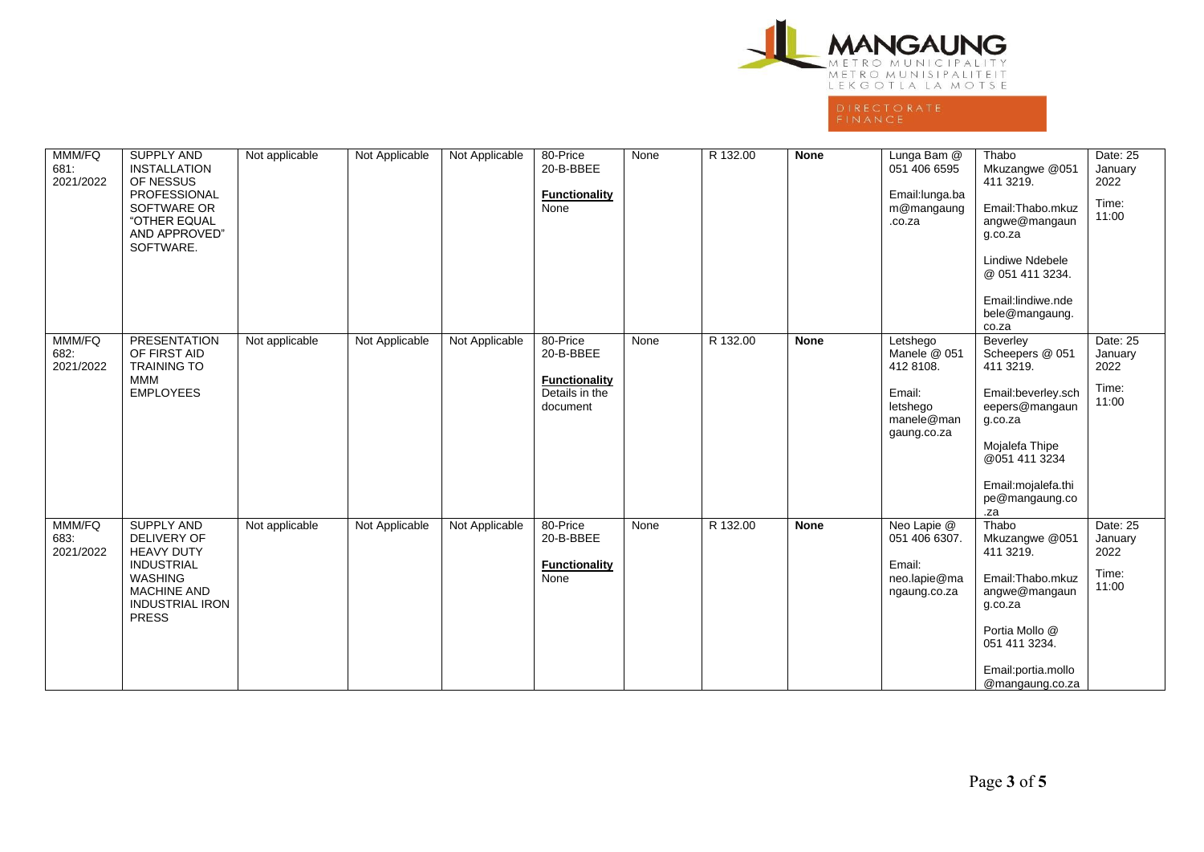

| MMM/FQ<br>681:<br>2021/2022 | SUPPLY AND<br><b>INSTALLATION</b><br>OF NESSUS<br>PROFESSIONAL<br>SOFTWARE OR<br>"OTHER EQUAL<br>AND APPROVED"<br>SOFTWARE.                                         | Not applicable | Not Applicable | Not Applicable | 80-Price<br>20-B-BBEE<br><b>Functionality</b><br>None                       | None | R 132.00 | None        | Lunga Bam @<br>051 406 6595<br>Email: lunga.ba<br>m@mangaung<br>.co.za                   | Thabo<br>Mkuzangwe @051<br>411 3219.<br>Email:Thabo.mkuz<br>angwe@mangaun<br>g.co.za<br><b>Lindiwe Ndebele</b><br>@ 051 411 3234.<br>Email:lindiwe.nde<br>bele@mangaung.<br>co.za | Date: 25<br>January<br>2022<br>Time:<br>11:00 |
|-----------------------------|---------------------------------------------------------------------------------------------------------------------------------------------------------------------|----------------|----------------|----------------|-----------------------------------------------------------------------------|------|----------|-------------|------------------------------------------------------------------------------------------|-----------------------------------------------------------------------------------------------------------------------------------------------------------------------------------|-----------------------------------------------|
| MMM/FQ<br>682.<br>2021/2022 | <b>PRESENTATION</b><br>OF FIRST AID<br><b>TRAINING TO</b><br><b>MMM</b><br><b>EMPLOYEES</b>                                                                         | Not applicable | Not Applicable | Not Applicable | 80-Price<br>20-B-BBEE<br><b>Functionality</b><br>Details in the<br>document | None | R 132.00 | <b>None</b> | Letshego<br>Manele @ 051<br>412 8108.<br>Email:<br>letshego<br>manele@man<br>gaung.co.za | Beverley<br>Scheepers @ 051<br>411 3219.<br>Email:beverley.sch<br>eepers@mangaun<br>g.co.za<br>Mojalefa Thipe<br>@051 411 3234<br>Email: mojalefa.thi<br>pe@mangaung.co<br>.za    | Date: 25<br>January<br>2022<br>Time:<br>11:00 |
| MMM/FQ<br>683.<br>2021/2022 | <b>SUPPLY AND</b><br><b>DELIVERY OF</b><br><b>HEAVY DUTY</b><br><b>INDUSTRIAL</b><br><b>WASHING</b><br><b>MACHINE AND</b><br><b>INDUSTRIAL IRON</b><br><b>PRESS</b> | Not applicable | Not Applicable | Not Applicable | 80-Price<br>20-B-BBEE<br><b>Functionality</b><br>None                       | None | R 132.00 | <b>None</b> | Neo Lapie @<br>051 406 6307.<br>Email:<br>neo.lapie@ma<br>ngaung.co.za                   | Thabo<br>Mkuzangwe @051<br>411 3219.<br>Email:Thabo.mkuz<br>angwe@mangaun<br>g.co.za<br>Portia Mollo @<br>051 411 3234.<br>Email:portia.mollo<br>@mangaung.co.za                  | Date: 25<br>January<br>2022<br>Time:<br>11:00 |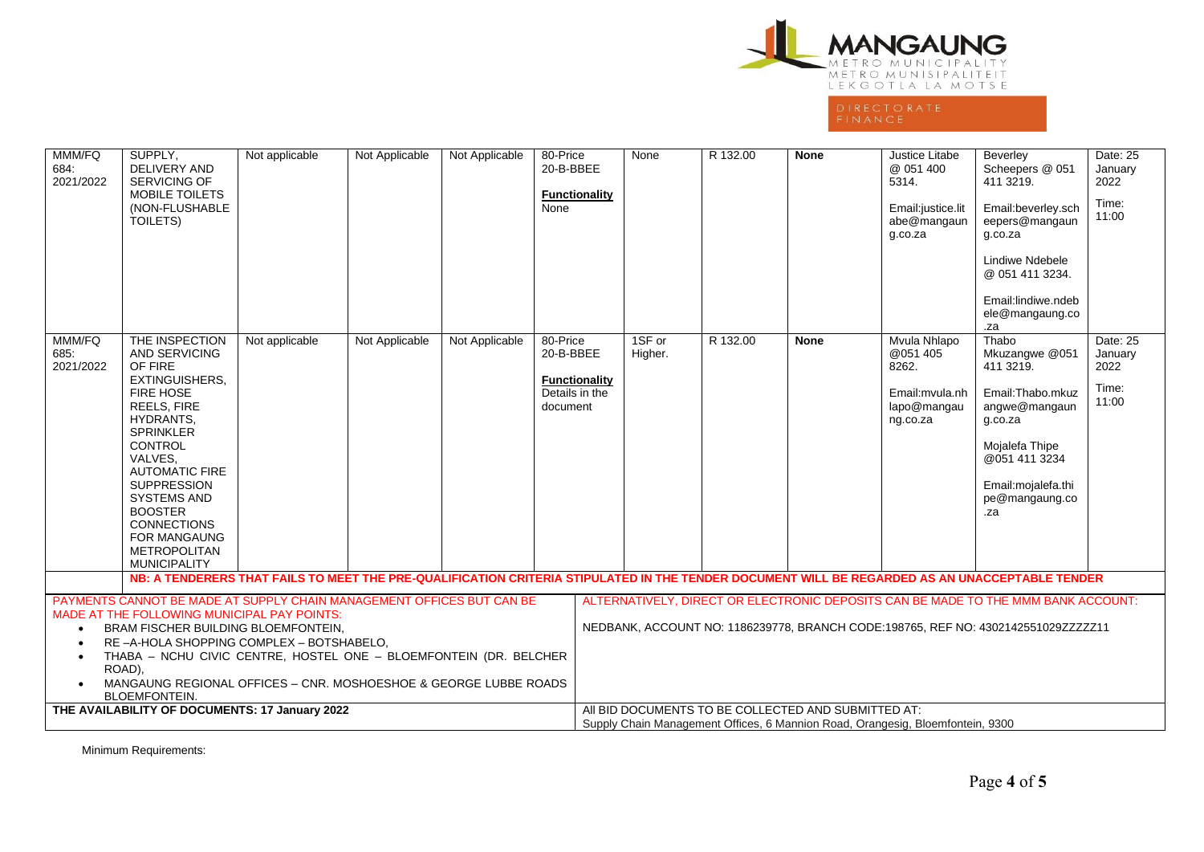

| MMM/FQ<br>684:<br>2021/2022                                                                                                                                                                                                                                                                                                                                                                     | SUPPLY,<br><b>DELIVERY AND</b><br><b>SERVICING OF</b><br>MOBILE TOILETS<br>(NON-FLUSHABLE<br>TOILETS)                                                                                                                                                                                                                                                  | Not applicable | Not Applicable | Not Applicable | 80-Price<br>20-B-BBEE<br>Functionality<br>None                              |                                                                                                                                                                        | None              | R 132.00 | None                                                                                                                                  | Justice Litabe<br>@ 051 400<br>5314.<br>Email:justice.lit<br>abe@mangaun<br>g.co.za | Beverley<br>Scheepers @ 051<br>411 3219.<br>Email:beverley.sch<br>eepers@mangaun<br>g.co.za<br>Lindiwe Ndebele<br>@ 051 411 3234.<br>Email:lindiwe.ndeb<br>ele@mangaung.co<br>.za | Date: 25<br>January<br>2022<br>Time:<br>11:00 |  |
|-------------------------------------------------------------------------------------------------------------------------------------------------------------------------------------------------------------------------------------------------------------------------------------------------------------------------------------------------------------------------------------------------|--------------------------------------------------------------------------------------------------------------------------------------------------------------------------------------------------------------------------------------------------------------------------------------------------------------------------------------------------------|----------------|----------------|----------------|-----------------------------------------------------------------------------|------------------------------------------------------------------------------------------------------------------------------------------------------------------------|-------------------|----------|---------------------------------------------------------------------------------------------------------------------------------------|-------------------------------------------------------------------------------------|-----------------------------------------------------------------------------------------------------------------------------------------------------------------------------------|-----------------------------------------------|--|
| MMM/FQ<br>685:<br>2021/2022                                                                                                                                                                                                                                                                                                                                                                     | THE INSPECTION<br><b>AND SERVICING</b><br>OF FIRE<br><b>EXTINGUISHERS.</b><br>FIRE HOSE<br>REELS, FIRE<br><b>HYDRANTS.</b><br><b>SPRINKLER</b><br><b>CONTROL</b><br>VALVES,<br><b>AUTOMATIC FIRE</b><br><b>SUPPRESSION</b><br><b>SYSTEMS AND</b><br><b>BOOSTER</b><br><b>CONNECTIONS</b><br>FOR MANGAUNG<br><b>METROPOLITAN</b><br><b>MUNICIPALITY</b> | Not applicable | Not Applicable | Not Applicable | 80-Price<br>20-B-BBEE<br><b>Functionality</b><br>Details in the<br>document |                                                                                                                                                                        | 1SF or<br>Higher. | R 132.00 | <b>None</b>                                                                                                                           | Mvula Nhlapo<br>@051 405<br>8262.<br>Email: mvula.nh<br>lapo@mangau<br>ng.co.za     | Thabo<br>Mkuzangwe @051<br>411 3219.<br>Email:Thabo.mkuz<br>angwe@mangaun<br>g.co.za<br>Mojalefa Thipe<br>@051 411 3234<br>Email: mojalefa.thi<br>pe@mangaung.co<br>.za           | Date: 25<br>January<br>2022<br>Time:<br>11:00 |  |
|                                                                                                                                                                                                                                                                                                                                                                                                 |                                                                                                                                                                                                                                                                                                                                                        |                |                |                |                                                                             |                                                                                                                                                                        |                   |          |                                                                                                                                       |                                                                                     | NB: A TENDERERS THAT FAILS TO MEET THE PRE-QUALIFICATION CRITERIA STIPULATED IN THE TENDER DOCUMENT WILL BE REGARDED AS AN UNACCEPTABLE TENDER                                    |                                               |  |
| PAYMENTS CANNOT BE MADE AT SUPPLY CHAIN MANAGEMENT OFFICES BUT CAN BE<br>MADE AT THE FOLLOWING MUNICIPAL PAY POINTS:<br>BRAM FISCHER BUILDING BLOEMFONTEIN,<br>$\bullet$<br>RE-A-HOLA SHOPPING COMPLEX - BOTSHABELO,<br>THABA - NCHU CIVIC CENTRE, HOSTEL ONE - BLOEMFONTEIN (DR. BELCHER<br>ROAD),<br>MANGAUNG REGIONAL OFFICES - CNR. MOSHOESHOE & GEORGE LUBBE ROADS<br><b>BLOEMFONTEIN.</b> |                                                                                                                                                                                                                                                                                                                                                        |                |                |                |                                                                             | ALTERNATIVELY. DIRECT OR ELECTRONIC DEPOSITS CAN BE MADE TO THE MMM BANK ACCOUNT:<br>NEDBANK, ACCOUNT NO: 1186239778, BRANCH CODE:198765, REF NO: 4302142551029ZZZZZ11 |                   |          |                                                                                                                                       |                                                                                     |                                                                                                                                                                                   |                                               |  |
| THE AVAILABILITY OF DOCUMENTS: 17 January 2022                                                                                                                                                                                                                                                                                                                                                  |                                                                                                                                                                                                                                                                                                                                                        |                |                |                |                                                                             |                                                                                                                                                                        |                   |          | All BID DOCUMENTS TO BE COLLECTED AND SUBMITTED AT:<br>Supply Chain Management Offices, 6 Mannion Road, Orangesig, Bloemfontein, 9300 |                                                                                     |                                                                                                                                                                                   |                                               |  |

Minimum Requirements: